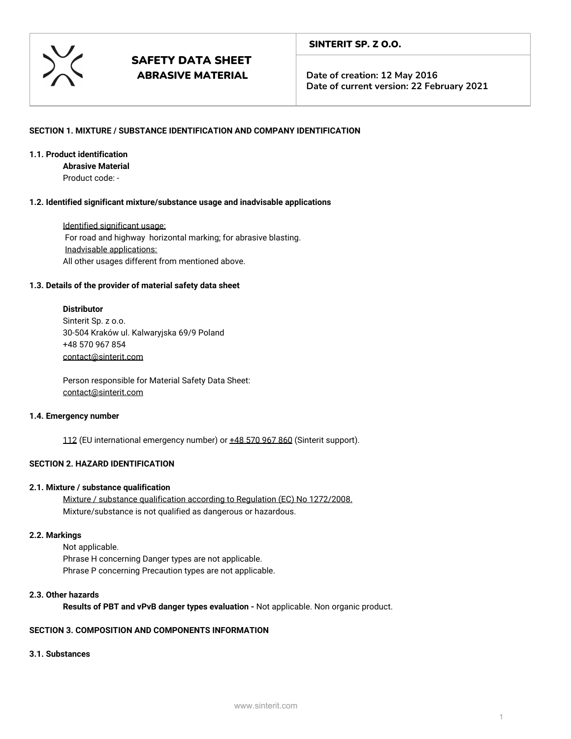

**Date of creation: 12 May 2016 Date of current version: 22 February 2021**

## **SECTION 1. MIXTURE / SUBSTANCE IDENTIFICATION AND COMPANY IDENTIFICATION**

## **1.1. Product identification**

**Abrasive Material**

Product code: -

## **1.2. Identified significant mixture/substance usage and inadvisable applications**

Identified significant usage: For road and highway horizontal marking; for abrasive blasting. Inadvisable applications: All other usages different from mentioned above.

## **1.3. Details of the provider of material safety data sheet**

## **Distributor**

Sinterit Sp. z o.o. 30-504 Kraków ul. Kalwaryjska 69/9 Poland +48 570 967 854 [contact@sinterit.com](mailto:contact@sinterit.com)

Person responsible for Material Safety Data Sheet: [contact@sinterit.com](mailto:contact@sinterit.com)

## **1.4. Emergency number**

112 (EU international emergency number) or  $\pm 48$  570 967 860 (Sinterit support).

## **SECTION 2. HAZARD IDENTIFICATION**

## **2.1. Mixture / substance qualification**

Mixture / substance qualification according to Regulation (EC) No 1272/2008. Mixture/substance is not qualified as dangerous or hazardous.

## **2.2. Markings**

Not applicable. Phrase H concerning Danger types are not applicable. Phrase P concerning Precaution types are not applicable.

## **2.3. Other hazards**

**Results of PBT and vPvB danger types evaluation -** Not applicable. Non organic product.

## **SECTION 3. COMPOSITION AND COMPONENTS INFORMATION**

## **3.1. Substances**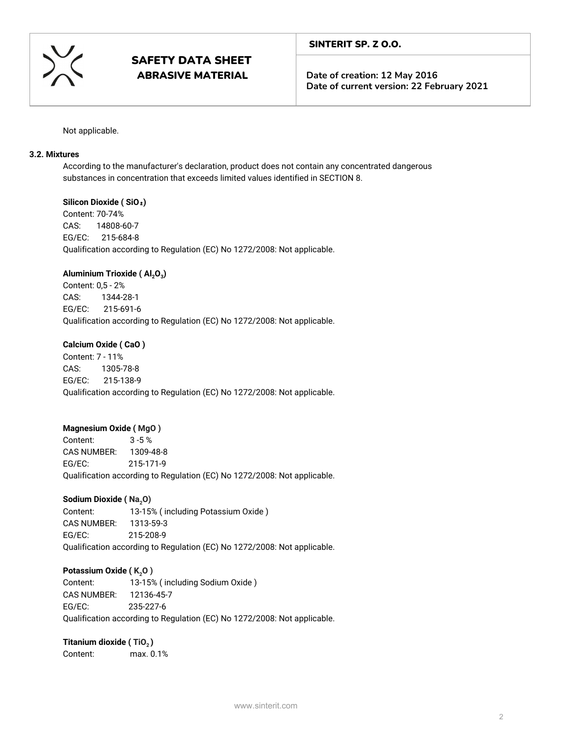

**Date of creation: 12 May 2016 Date of current version: 22 February 2021**

Not applicable.

## **3.2. Mixtures**

According to the manufacturer's declaration, product does not contain any concentrated dangerous substances in concentration that exceeds limited values identified in SECTION 8.

## **Silicon Dioxide ( SiO**₂**)**

Content: 70-74% CAS: 14808-60-7 EG/EC: 215-684-8 Qualification according to Regulation (EC) No 1272/2008: Not applicable.

## **Aluminium Trioxide ( Al2O<sup>3</sup> )**

Content: 0,5 - 2% CAS: 1344-28-1 EG/EC: 215-691-6 Qualification according to Regulation (EC) No 1272/2008: Not applicable.

## **Calcium Oxide ( CaO )**

Content: 7 - 11% CAS: 1305-78-8 EG/EC: 215-138-9 Qualification according to Regulation (EC) No 1272/2008: Not applicable.

## **Magnesium Oxide ( MgO )**

Content: 3 -5 % CAS NUMBER: 1309-48-8 EG/EC: 215-171-9 Qualification according to Regulation (EC) No 1272/2008: Not applicable.

## **Sodium Dioxide (Na<sub>2</sub>O)**

Content: 13-15% ( including Potassium Oxide ) CAS NUMBER: 1313-59-3 EG/EC: 215-208-9 Qualification according to Regulation (EC) No 1272/2008: Not applicable.

## **Potassium Oxide (K<sub>2</sub>O)**

Content: 13-15% ( including Sodium Oxide ) CAS NUMBER: 12136-45-7 EG/EC: 235-227-6 Qualification according to Regulation (EC) No 1272/2008: Not applicable.

## **Titanium dioxide ( TiO<sup>2</sup> )**

Content: max. 0.1%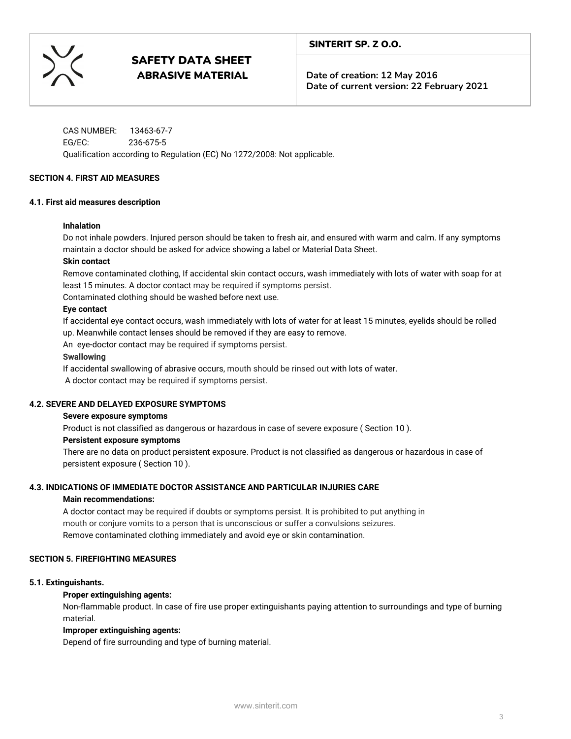

**Date of creation: 12 May 2016 Date of current version: 22 February 2021**

CAS NUMBER: 13463-67-7 EG/EC: 236-675-5 Qualification according to Regulation (EC) No 1272/2008: Not applicable.

#### **SECTION 4. FIRST AID MEASURES**

#### **4.1. First aid measures description**

#### **Inhalation**

Do not inhale powders. Injured person should be taken to fresh air, and ensured with warm and calm. If any symptoms maintain a doctor should be asked for advice showing a label or Material Data Sheet.

#### **Skin contact**

Remove contaminated clothing, If accidental skin contact occurs, wash immediately with lots of water with soap for at least 15 minutes. A doctor contact may be required if symptoms persist.

Contaminated clothing should be washed before next use.

#### **Eye contact**

If accidental eye contact occurs, wash immediately with lots of water for at least 15 minutes, eyelids should be rolled up. Meanwhile contact lenses should be removed if they are easy to remove.

An eye-doctor contact may be required if symptoms persist.

#### **Swallowing**

If accidental swallowing of abrasive occurs, mouth should be rinsed out with lots of water. A doctor contact may be required if symptoms persist.

#### **4.2. SEVERE AND DELAYED EXPOSURE SYMPTOMS**

#### **Severe exposure symptoms**

Product is not classified as dangerous or hazardous in case of severe exposure ( Section 10 ).

#### **Persistent exposure symptoms**

There are no data on product persistent exposure.Product is not classified as dangerous or hazardous in case of persistent exposure( Section 10 ).

## **4.3. INDICATIONS OF IMMEDIATE DOCTOR ASSISTANCE AND PARTICULAR INJURIES CARE**

#### **Main recommendations:**

A doctor contact may be required if doubts or symptoms persist. It is prohibited to put anything in mouth or conjure vomits to a person that is unconscious or suffer a convulsions seizures. Remove contaminated clothing immediately and avoid eye or skin contamination.

## **SECTION 5. FIREFIGHTING MEASURES**

#### **5.1. Extinguishants.**

## **Proper extinguishing agents:**

Non-flammable product. In case of fire use proper extinguishants paying attention to surroundings and type of burning material.

## **Improper extinguishing agents:**

Depend of fire surrounding and type of burning material.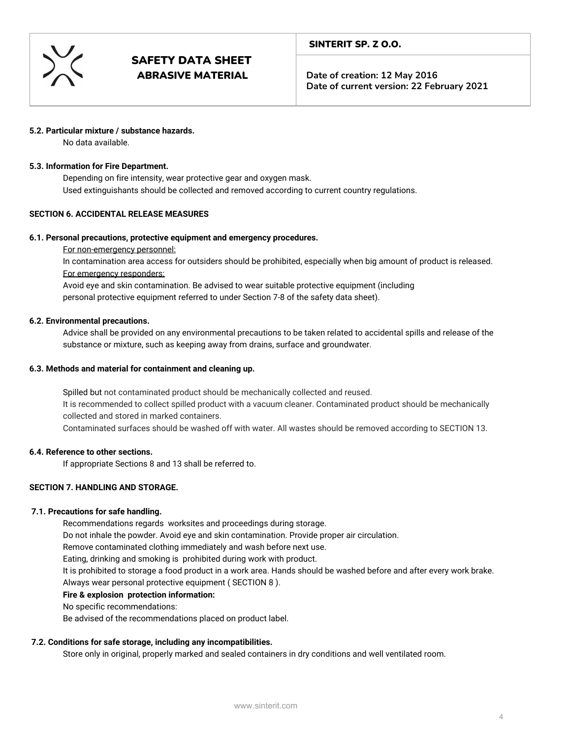

**Date of creation: 12 May 2016 Date of current version: 22 February 2021**

## **5.2. Particular mixture / substance hazards.**

No data available.

#### **5.3. Information for Fire Department.**

Depending on fire intensity, wear protective gear and oxygen mask. Used extinguishants should be collected and removed according to current country regulations.

## **SECTION 6. ACCIDENTAL RELEASE MEASURES**

#### **6.1. Personal precautions, protective equipment and emergency procedures.**

For non-emergency personnel:

In contamination area access for outsiders should be prohibited, especially when big amount of product is released. For emergency responders:

Avoid eye and skin contamination. Be advised to wear suitable protective equipment (including personal protective equipment referred to under Section 7-8 of the safety data sheet).

#### **6.2. Environmental precautions.**

Advice shall be provided on any environmental precautions to be taken related to accidental spills and release of the substance or mixture, such as keeping away from drains, surface and groundwater.

#### **6.3. Methods and material for containment and cleaning up.**

Spilled but not contaminated product should be mechanically collected and reused. It is recommended to collect spilled product with a vacuum cleaner. Contaminated product should be mechanically collected and stored in marked containers.

Contaminated surfaces should be washed off with water. All wastes should be removed according to SECTION 13.

#### **6.4. Reference to other sections.**

If appropriate Sections 8 and 13 shall be referred to.

## **SECTION 7. HANDLING AND STORAGE.**

## **7.1. Precautions for safe handling.**

Recommendations regards worksites and proceedings during storage.

Do not inhale the powder. Avoid eye and skin contamination. Provide proper air circulation.

Remove contaminated clothing immediately and wash before next use.

Eating, drinking and smoking is prohibited during work with product.

It is prohibited to storage a food product in a work area. Hands should be washed before and after every work brake. Always wear personal protective equipment ( SECTION 8 ).

## **Fire & explosion protection information:**

No specific recommendations:

Be advised of the recommendations placed on product label.

## **7.2. Conditions for safe storage, including any incompatibilities.**

Store only in original, properly marked and sealed containers in dry conditions and well ventilated room.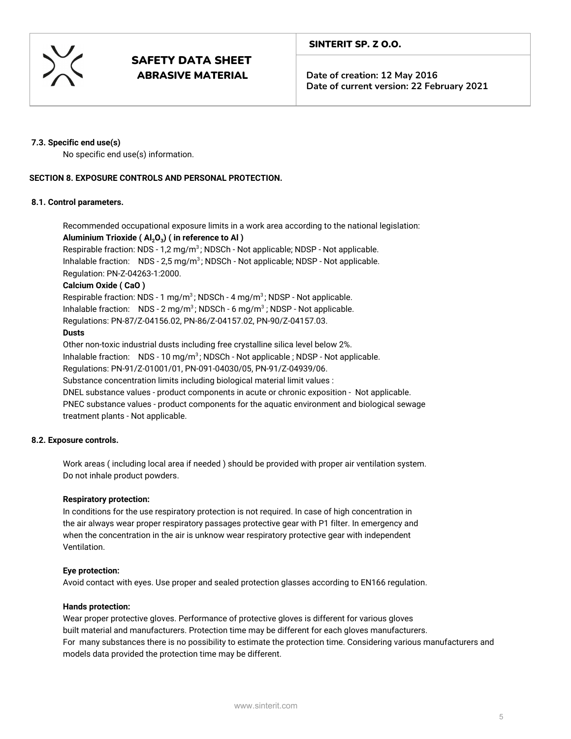

**Date of creation: 12 May 2016 Date of current version: 22 February 2021**

## **7.3. Specific end use(s)**

No specific end use(s) information.

## **SECTION 8. EXPOSURE CONTROLS AND PERSONAL PROTECTION.**

#### **8.1. Control parameters.**

Recommended occupational exposure limits in a work area according to the national legislation: **Aluminium Trioxide ( Al2O<sup>3</sup> ) ( in reference to Al )**

Respirable fraction: NDS - 1,2 mg/m<sup>3</sup>; NDSCh - Not applicable; NDSP - Not applicable. Inhalable fraction:  $NDS - 2.5 mg/m<sup>3</sup>$ ; NDSCh - Not applicable; NDSP - Not applicable. Regulation: PN-Z-04263-1:2000.

## **Calcium Oxide ( CaO )**

Respirable fraction: NDS - 1 mg/m<sup>3</sup>; NDSCh - 4 mg/m<sup>3</sup>; NDSP - Not applicable. Inhalable fraction: NDS - 2 mg/m<sup>3</sup>; NDSCh - 6 mg/m<sup>3</sup>; NDSP - Not applicable. Regulations: PN-87/Z-04156.02, PN-86/Z-04157.02, PN-90/Z-04157.03.

#### **Dusts**

Other non-toxic industrial dusts including free crystalline silica level below 2%. Inhalable fraction: NDS - 10 mg/m<sup>3</sup>; NDSCh - Not applicable ; NDSP - Not applicable. Regulations: PN-91/Z-01001/01, PN-091-04030/05, PN-91/Z-04939/06. Substance concentration limits including biological material limit values : DNEL substance values - product components in acute or chronic exposition - Not applicable. PNEC substance values - product components for the aquatic environment and biological sewage treatment plants - Not applicable.

## **8.2. Exposure controls.**

Work areas ( including local area if needed ) should be provided with proper air ventilation system. Do not inhale product powders.

## **Respiratory protection:**

In conditions for the use respiratory protection is not required. In case of high concentration in the air always wear proper respiratory passages protective gear with P1 filter. In emergency and when the concentration in the air is unknow wear respiratory protective gear with independent Ventilation.

## **Eye protection:**

Avoid contact with eyes. Use proper and sealed protection glasses according to EN166 regulation.

#### **Hands protection:**

Wear proper protective gloves. Performance of protective gloves is different for various gloves built material and manufacturers. Protection time may be different for each gloves manufacturers. For many substances there is no possibility to estimate the protection time. Considering various manufacturers and models data provided the protection time may be different.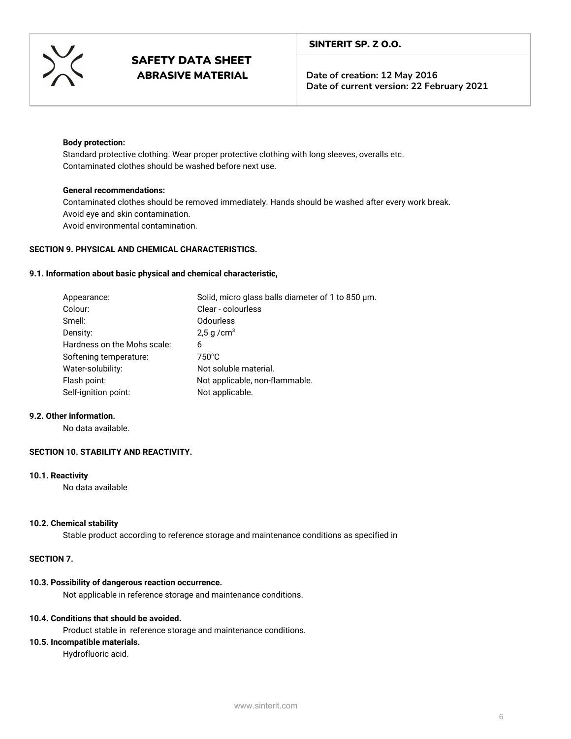

**Date of creation: 12 May 2016 Date of current version: 22 February 2021**

#### **Body protection:**

Standard protective clothing. Wear proper protective clothing with long sleeves, overalls etc. Contaminated clothes should be washed before next use.

## **General recommendations:**

Contaminated clothes should be removed immediately. Hands should be washed after every work break. Avoid eye and skin contamination. Avoid environmental contamination.

#### **SECTION 9. PHYSICAL AND CHEMICAL CHARACTERISTICS.**

#### **9.1. Information about basic physical and chemical characteristic,**

| Appearance:                 | Solid, micro glass balls diameter of 1 to 850 µm. |
|-----------------------------|---------------------------------------------------|
| Colour:                     | Clear - colourless                                |
| Smell:                      | <b>Odourless</b>                                  |
| Density:                    | 2,5 g/cm <sup>3</sup>                             |
| Hardness on the Mohs scale: | 6                                                 |
| Softening temperature:      | 750°C                                             |
| Water-solubility:           | Not soluble material.                             |
| Flash point:                | Not applicable, non-flammable.                    |
| Self-ignition point:        | Not applicable.                                   |

#### **9.2. Other information.**

No data available.

## **SECTION 10. STABILITY AND REACTIVITY.**

#### **10.1. Reactivity**

No data available

## **10.2. Chemical stability**

Stable product according to reference storage and maintenance conditions as specified in

#### **SECTION 7.**

#### **10.3. Possibility of dangerous reaction occurrence.**

Not applicable in reference storage and maintenance conditions.

#### **10.4. Conditions that should be avoided.**

Product stable in reference storage and maintenance conditions.

## **10.5. Incompatible materials.**

Hydrofluoric acid.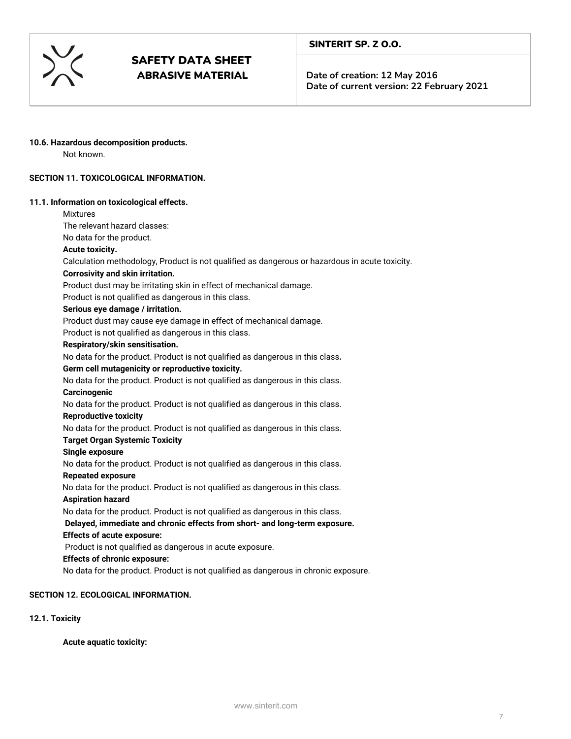

**Date of creation: 12 May 2016 Date of current version: 22 February 2021**

#### **10.6. Hazardous decomposition products.**

Not known.

## **SECTION 11. TOXICOLOGICAL INFORMATION.**

#### **11.1. Information on toxicological effects.**

Mixtures The relevant hazard classes:

## No data for the product.

## **Acute toxicity.**

Calculation methodology, Product is not qualified as dangerous or hazardous in acute toxicity.

#### **Corrosivity and skin irritation.**

Product dust may be irritating skin in effect of mechanical damage.

Product is not qualified as dangerous in this class.

#### **Serious eye damage / irritation.**

Product dust may cause eye damage in effect of mechanical damage.

Product is not qualified as dangerous in this class.

## **Respiratory/skin sensitisation.**

No data for the product. Product is not qualified as dangerous in this class**.**

## **Germ cell mutagenicity or reproductive toxicity.**

No data for the product. Product is not qualified as dangerous in this class.

**Carcinogenic**

No data for the product. Product is not qualified as dangerous in this class.

#### **Reproductive toxicity**

No data for the product. Product is not qualified as dangerous in this class.

#### **Target Organ Systemic Toxicity**

#### **Single exposure**

No data for the product. Product is not qualified as dangerous in this class.

#### **Repeated exposure**

No data for the product. Product is not qualified as dangerous in this class.

#### **Aspiration hazard**

No data for the product. Product is not qualified as dangerous in this class.

# **Delayed, immediate and chronic effects from short- and long-term exposure.**

## **Effects of acute exposure:**

Product is not qualified as dangerous in acute exposure.

## **Effects of chronic exposure:**

No data for the product. Product is not qualified as dangerous in chronic exposure.

## **SECTION 12. ECOLOGICAL INFORMATION.**

## **12.1. Toxicity**

**Acute aquatic toxicity:**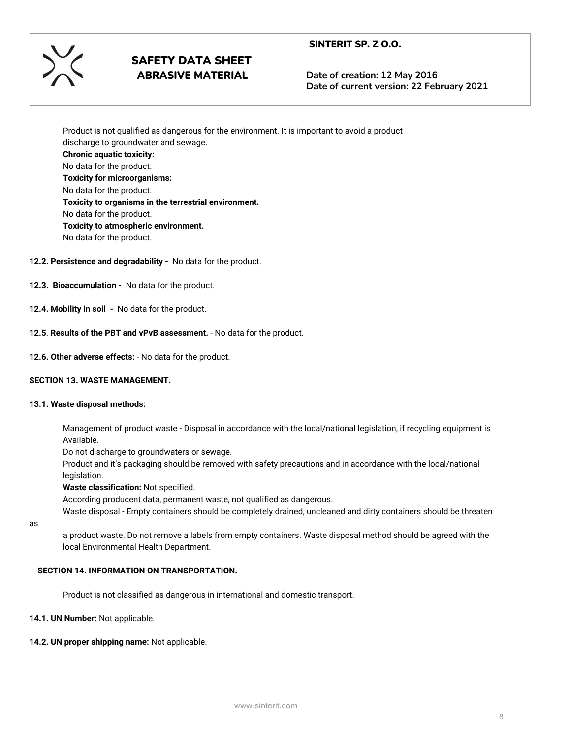

**Date of creation: 12 May 2016 Date of current version: 22 February 2021**

Product is not qualified as dangerous for the environment. It is important to avoid a product discharge to groundwater and sewage. **Chronic aquatic toxicity:** No data for the product. **Toxicity for microorganisms:** No data for the product. **Toxicity to organisms in the terrestrial environment.** No data for the product. **Toxicity to atmospheric environment.** No data for the product.

## **12.2. Persistence and degradability -**  No data for the product.

- **12.3. Bioaccumulation**  No data for the product.
- **12.4. Mobility in soil**  No data for the product.
- **12.5**. **Results of the PBT and vPvB assessment.** -No data for the product.
- **12.6. Other adverse effects:** No data for the product.

#### **SECTION 13. WASTE MANAGEMENT.**

#### **13.1. Waste disposal methods:**

Management of product waste - Disposal in accordance with the local/national legislation, if recycling equipment is Available.

Do not discharge to groundwaters or sewage.

Product and it's packaging should be removed with safety precautions and in accordance with the local/national legislation.

**Waste classification:** Not specified.

According producent data, permanent waste, not qualified as dangerous.

Waste disposal - Empty containers should be completely drained, uncleaned and dirty containers should be threaten

as

a product waste. Do not remove a labels from empty containers. Waste disposal method should be agreed with the local Environmental Health Department.

#### **SECTION 14. INFORMATION ON TRANSPORTATION.**

Product is not classified as dangerous in international and domestic transport.

**14.1. UN Number:** Not applicable.

**14.2. UN proper shipping name:** Not applicable.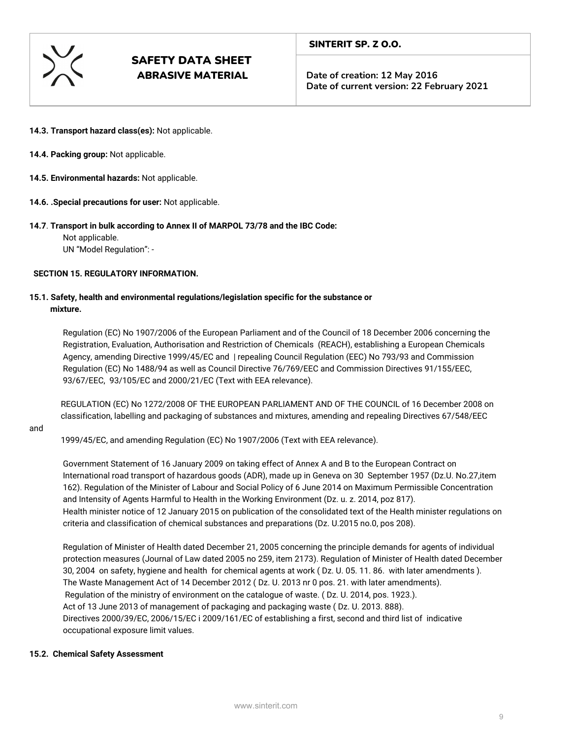

**Date of creation: 12 May 2016 Date of current version: 22 February 2021**

- **14.3. Transport hazard class(es):** Not applicable.
- **14.4. Packing group:** Not applicable.
- **14.5. Environmental hazards:** Not applicable.
- **14.6. .Special precautions for user:** Not applicable.

## **14.7**. **Transport in bulk according to Annex II of MARPOL 73/78 and the IBC Code:**

Not applicable.

UN "Model Regulation": -

## **SECTION 15. REGULATORY INFORMATION.**

## **15.1. Safety, health and environmental regulations/legislation specific for the substance or mixture.**

Regulation (EC) No 1907/2006 of the European Parliament and of the Council of 18 December 2006 concerning the Registration, Evaluation, Authorisation and Restriction of Chemicals (REACH), establishing a European Chemicals Agency, amending Directive 1999/45/EC and | repealing Council Regulation (EEC) No 793/93 and Commission Regulation (EC) No 1488/94 as well as Council Directive 76/769/EEC and Commission Directives 91/155/EEC, 93/67/EEC, 93/105/EC and 2000/21/EC (Text with EEA relevance).

REGULATION (EC) No 1272/2008 OF THE EUROPEAN PARLIAMENT AND OF THE COUNCIL of 16 December 2008 on classification, labelling and packaging of substances and mixtures, amending and repealing Directives 67/548/EEC

#### and

1999/45/EC, and amending Regulation (EC) No 1907/2006 (Text with EEA relevance).

Government Statement of 16 January 2009 on taking effect of Annex A and B to the European Contract on International road transport of hazardous goods (ADR), made up in Geneva on 30 September 1957 (Dz.U. No.27,item 162). Regulation of the Minister of Labour and Social Policy of 6 June 2014 on Maximum Permissible Concentration and Intensity of Agents Harmful to Health in the Working Environment (Dz. u. z. 2014, poz 817). Health minister notice of 12 January 2015 on publication of the consolidated text of the Health minister regulations on criteria and classification of chemical substances and preparations (Dz. U.2015 no.0, pos 208).

Regulation of Minister of Health dated December 21, 2005 concerning the principle demands for agents of individual protection measures (Journal of Law dated 2005 no 259, item 2173). Regulation of Minister of Health dated December 30, 2004 on safety, hygiene and health for chemical agents at work ( Dz. U. 05. 11. 86. with later amendments ). The Waste Management Act of 14 December 2012 ( Dz. U. 2013 nr 0 pos. 21. with later amendments). Regulation of the ministry of environment on the catalogue of waste. ( Dz. U. 2014, pos. 1923.). Act of 13 June 2013 of management of packaging and packaging waste ( Dz. U. 2013. 888). Directives 2000/39/EC, 2006/15/EC i 2009/161/EC of establishing a first, second and third list of indicative occupational exposure limit values.

## **15.2. Chemical Safety Assessment**